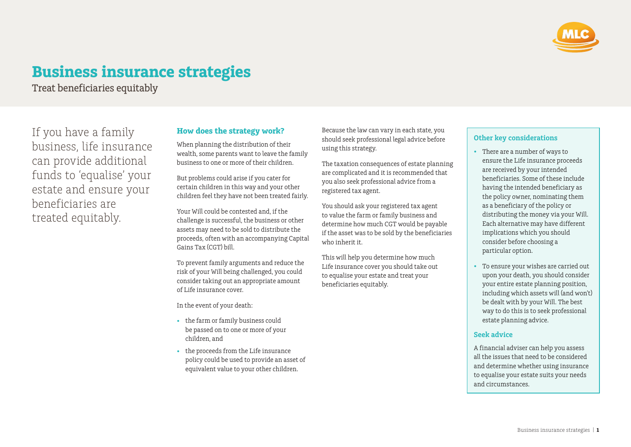

# **Business insurance strategies**

Treat beneficiaries equitably

If you have a family business, life insurance can provide additional funds to 'equalise' your estate and ensure your beneficiaries are treated equitably.

### **How does the strategy work?**

When planning the distribution of their wealth, some parents want to leave the family business to one or more of their children.

But problems could arise if you cater for certain children in this way and your other children feel they have not been treated fairly.

Your Will could be contested and, if the challenge is successful, the business or other assets may need to be sold to distribute the proceeds, often with an accompanying Capital Gains Tax (CGT) bill.

To prevent family arguments and reduce the risk of your Will being challenged, you could consider taking out an appropriate amount of Life insurance cover.

In the event of your death:

- the farm or family business could be passed on to one or more of your children, and
- the proceeds from the Life insurance policy could be used to provide an asset of equivalent value to your other children.

Because the law can vary in each state, you should seek professional legal advice before using this strategy.

The taxation consequences of estate planning are complicated and it is recommended that you also seek professional advice from a registered tax agent.

You should ask your registered tax agent to value the farm or family business and determine how much CGT would be payable if the asset was to be sold by the beneficiaries who inherit it.

This will help you determine how much Life insurance cover you should take out to equalise your estate and treat your beneficiaries equitably.

### **Other key considerations**

- There are a number of ways to ensure the Life insurance proceeds are received by your intended beneficiaries. Some of these include having the intended beneficiary as the policy owner, nominating them as a beneficiary of the policy or distributing the money via your Will. Each alternative may have different implications which you should consider before choosing a particular option.
- To ensure your wishes are carried out upon your death, you should consider your entire estate planning position, including which assets will (and won't) be dealt with by your Will. The best way to do this is to seek professional estate planning advice.

### **Seek advice**

A financial adviser can help you assess all the issues that need to be considered and determine whether using insurance to equalise your estate suits your needs and circumstances.